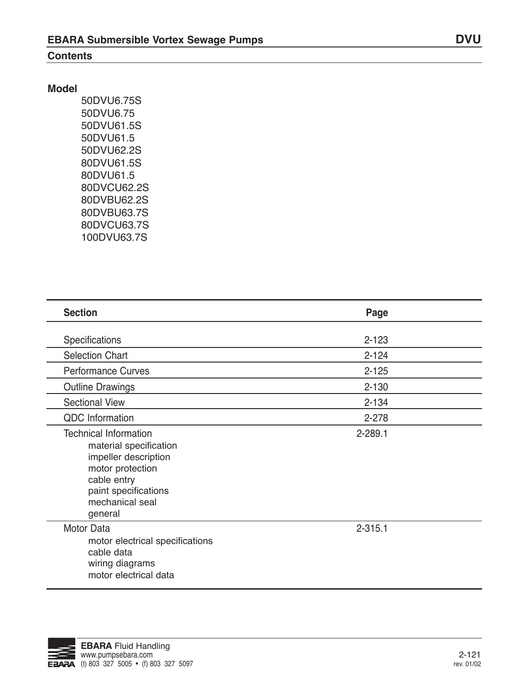#### **Contents**

### **Model**

50DVU6.75S 50DVU6.75 50DVU61.5S 50DVU61.5 50DVU62.2S 80DVU61.5S 80DVU61.5 80DVCU62.2S 80DVBU62.2S 80DVBU63.7S 80DVCU63.7S 100DVU63.7S

| <b>Section</b>                                                                                                                                                          | Page        |  |
|-------------------------------------------------------------------------------------------------------------------------------------------------------------------------|-------------|--|
| Specifications                                                                                                                                                          | $2 - 123$   |  |
| <b>Selection Chart</b>                                                                                                                                                  | $2 - 124$   |  |
| <b>Performance Curves</b>                                                                                                                                               | $2 - 125$   |  |
| <b>Outline Drawings</b>                                                                                                                                                 | $2 - 130$   |  |
| <b>Sectional View</b>                                                                                                                                                   | $2 - 134$   |  |
| <b>QDC</b> Information                                                                                                                                                  | 2-278       |  |
| <b>Technical Information</b><br>material specification<br>impeller description<br>motor protection<br>cable entry<br>paint specifications<br>mechanical seal<br>general | 2-289.1     |  |
| <b>Motor Data</b><br>motor electrical specifications<br>cable data<br>wiring diagrams<br>motor electrical data                                                          | $2 - 315.1$ |  |

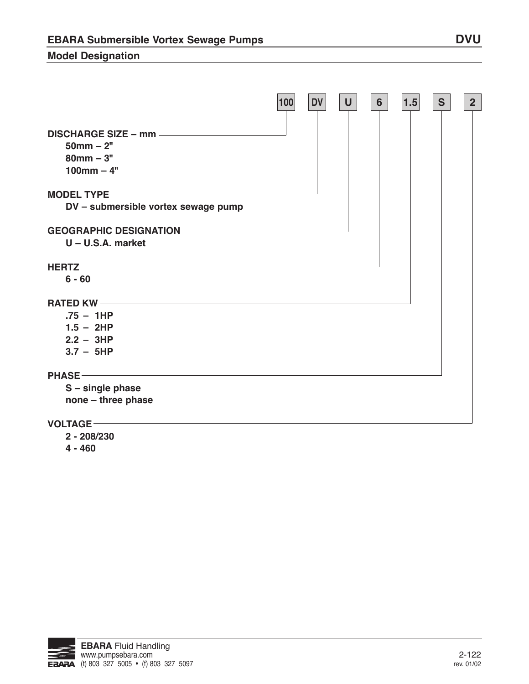## **Model Designation**

|                                                           | 100 | <b>DV</b> | U | $6\phantom{1}$ | 1.5 | S | 2 <sup>2</sup> |
|-----------------------------------------------------------|-----|-----------|---|----------------|-----|---|----------------|
| $50mm - 2"$<br>$80$ mm $-3"$<br>$100$ mm $-4"$            |     |           |   |                |     |   |                |
| <b>MODEL TYPE-</b><br>DV - submersible vortex sewage pump |     |           |   |                |     |   |                |
| $U - U.S.A.$ market                                       |     |           |   |                |     |   |                |
| HERTZ<br>$6 - 60$                                         |     |           |   |                |     |   |                |
| $.75 - 1HP$<br>$1.5 - 2HP$<br>$2.2 - 3HP$<br>$3.7 - 5HP$  |     |           |   |                |     |   |                |
| <b>PHASE</b><br>S - single phase<br>none - three phase    |     |           |   |                |     |   |                |
| VOLTAGE-                                                  |     |           |   |                |     |   |                |

**2 - 208/230**

**4 - 460**

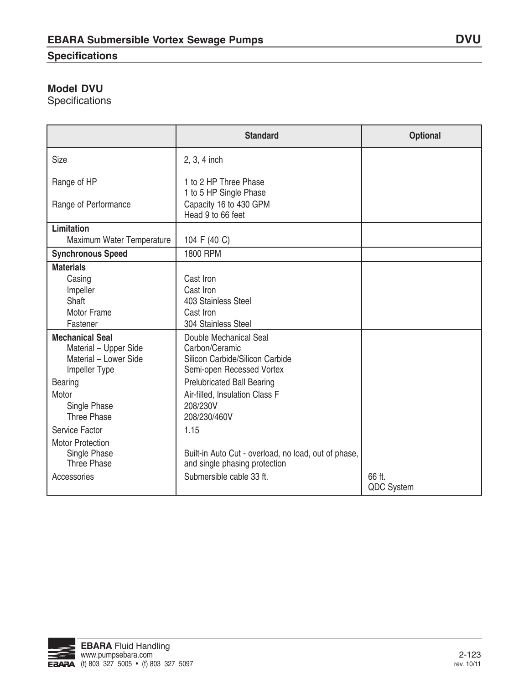## **Specifications**

# **Model DVU**

**Specifications** 

|                                                                                           | <b>Standard</b>                                                                                                   | <b>Optional</b> |
|-------------------------------------------------------------------------------------------|-------------------------------------------------------------------------------------------------------------------|-----------------|
| Size                                                                                      | 2, 3, 4 inch                                                                                                      |                 |
| Range of HP<br>Range of Performance                                                       | 1 to 2 HP Three Phase<br>1 to 5 HP Single Phase<br>Capacity 16 to 430 GPM<br>Head 9 to 66 feet                    |                 |
| <b>Limitation</b>                                                                         |                                                                                                                   |                 |
| Maximum Water Temperature                                                                 | 104 F (40 C)                                                                                                      |                 |
| <b>Synchronous Speed</b>                                                                  | 1800 RPM                                                                                                          |                 |
| <b>Materials</b>                                                                          |                                                                                                                   |                 |
| Casing                                                                                    | Cast Iron                                                                                                         |                 |
| Impeller                                                                                  | Cast Iron                                                                                                         |                 |
| Shaft                                                                                     | 403 Stainless Steel                                                                                               |                 |
| <b>Motor Frame</b>                                                                        | Cast Iron                                                                                                         |                 |
| Fastener                                                                                  | 304 Stainless Steel                                                                                               |                 |
| <b>Mechanical Seal</b><br>Material - Upper Side<br>Material - Lower Side<br>Impeller Type | Double Mechanical Seal<br>Carbon/Ceramic<br>Silicon Carbide/Silicon Carbide<br>Semi-open Recessed Vortex          |                 |
| <b>Bearing</b>                                                                            | <b>Prelubricated Ball Bearing</b>                                                                                 |                 |
| Motor                                                                                     | Air-filled, Insulation Class F                                                                                    |                 |
| Single Phase                                                                              | 208/230V                                                                                                          |                 |
| <b>Three Phase</b>                                                                        | 208/230/460V                                                                                                      |                 |
| Service Factor                                                                            | 1.15                                                                                                              |                 |
| <b>Motor Protection</b><br>Single Phase<br><b>Three Phase</b><br>Accessories              | Built-in Auto Cut - overload, no load, out of phase,<br>and single phasing protection<br>Submersible cable 33 ft. | 66 ft.          |
|                                                                                           |                                                                                                                   | QDC System      |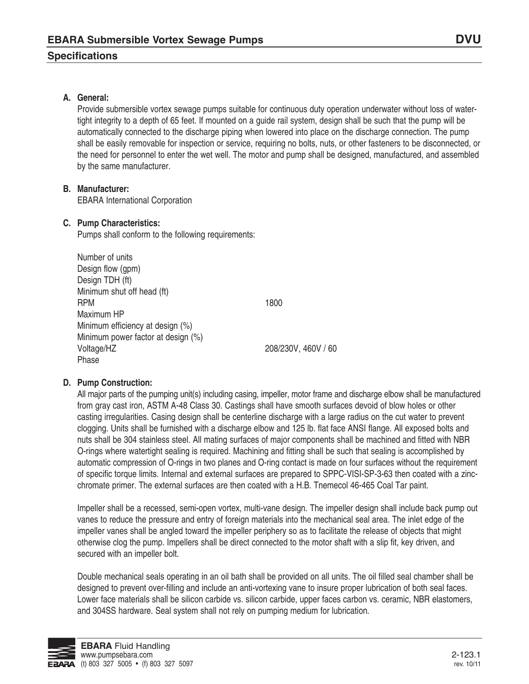### **Specifications**

Provide submersible vortex sewage pumps suitable for continuous duty operation underwater without loss of watertight integrity to a depth of 65 feet. If mounted on a guide rail system, design shall be such that the pump will be automatically connected to the discharge piping when lowered into place on the discharge connection. The pump shall be easily removable for inspection or service, requiring no bolts, nuts, or other fasteners to be disconnected, or the need for personnel to enter the wet well. The motor and pump shall be designed, manufactured, and assembled by the same manufacturer.

#### **B. Manufacturer:**

EBARA International Corporation

#### **C. Pump Characteristics:**

Pumps shall conform to the following requirements:

Number of units Design flow (gpm) Design TDH (ft) Minimum shut off head (ft) **RPM** 1800 Maximum HP Minimum efficiency at design (%) Minimum power factor at design (%) Voltage/HZ 208/230V, 460V / 60 Phase

#### **D. Pump Construction:**

All major parts of the pumping unit(s) including casing, impeller, motor frame and discharge elbow shall be manufactured from gray cast iron, ASTM A-48 Class 30. Castings shall have smooth surfaces devoid of blow holes or other casting irregularities. Casing design shall be centerline discharge with a large radius on the cut water to prevent clogging. Units shall be furnished with a discharge elbow and 125 lb. flat face ANSI flange. All exposed bolts and nuts shall be 304 stainless steel. All mating surfaces of major components shall be machined and fitted with NBR O-rings where watertight sealing is required. Machining and fitting shall be such that sealing is accomplished by automatic compression of O-rings in two planes and O-ring contact is made on four surfaces without the requirement of specific torque limits. Internal and external surfaces are prepared to SPPC-VISI-SP-3-63 then coated with a zincchromate primer. The external surfaces are then coated with a H.B. Tnemecol 46-465 Coal Tar paint.

Impeller shall be a recessed, semi-open vortex, multi-vane design. The impeller design shall include back pump out vanes to reduce the pressure and entry of foreign materials into the mechanical seal area. The inlet edge of the impeller vanes shall be angled toward the impeller periphery so as to facilitate the release of objects that might otherwise clog the pump. Impellers shall be direct connected to the motor shaft with a slip fit, key driven, and secured with an impeller bolt.

Double mechanical seals operating in an oil bath shall be provided on all units. The oil filled seal chamber shall be designed to prevent over-filling and include an anti-vortexing vane to insure proper lubrication of both seal faces. Lower face materials shall be silicon carbide vs. silicon carbide, upper faces carbon vs. ceramic, NBR elastomers, and 304SS hardware. Seal system shall not rely on pumping medium for lubrication.

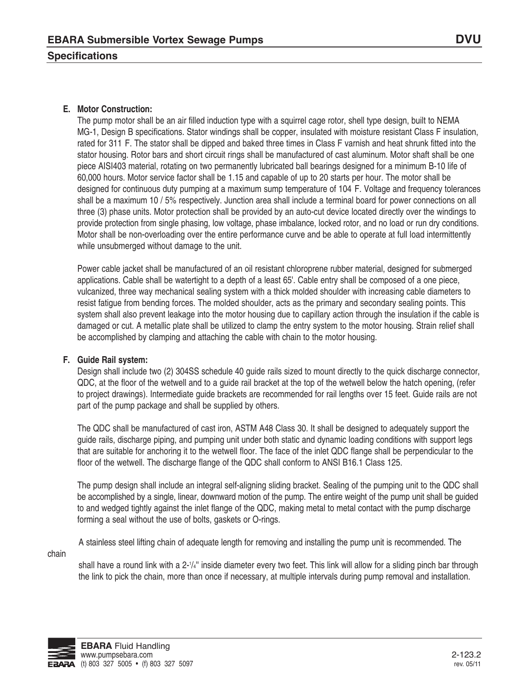#### **E. Motor Construction:**

The pump motor shall be an air filled induction type with a squirrel cage rotor, shell type design, built to NEMA MG-1, Design B specifications. Stator windings shall be copper, insulated with moisture resistant Class F insulation, rated for 311 F. The stator shall be dipped and baked three times in Class F varnish and heat shrunk fitted into the stator housing. Rotor bars and short circuit rings shall be manufactured of cast aluminum. Motor shaft shall be one piece AISI403 material, rotating on two permanently lubricated ball bearings designed for a minimum B-10 life of 60,000 hours. Motor service factor shall be 1.15 and capable of up to 20 starts per hour. The motor shall be designed for continuous duty pumping at a maximum sump temperature of 104 F. Voltage and frequency tolerances shall be a maximum 10 / 5% respectively. Junction area shall include a terminal board for power connections on all three (3) phase units. Motor protection shall be provided by an auto-cut device located directly over the windings to provide protection from single phasing, low voltage, phase imbalance, locked rotor, and no load or run dry conditions. Motor shall be non-overloading over the entire performance curve and be able to operate at full load intermittently while unsubmerged without damage to the unit.

Power cable jacket shall be manufactured of an oil resistant chloroprene rubber material, designed for submerged applications. Cable shall be watertight to a depth of a least 65'. Cable entry shall be composed of a one piece, vulcanized, three way mechanical sealing system with a thick molded shoulder with increasing cable diameters to resist fatigue from bending forces. The molded shoulder, acts as the primary and secondary sealing points. This system shall also prevent leakage into the motor housing due to capillary action through the insulation if the cable is damaged or cut. A metallic plate shall be utilized to clamp the entry system to the motor housing. Strain relief shall be accomplished by clamping and attaching the cable with chain to the motor housing.

#### **F. Guide Rail system:**

Design shall include two (2) 304SS schedule 40 guide rails sized to mount directly to the quick discharge connector, QDC, at the floor of the wetwell and to a guide rail bracket at the top of the wetwell below the hatch opening, (refer to project drawings). Intermediate guide brackets are recommended for rail lengths over 15 feet. Guide rails are not part of the pump package and shall be supplied by others.

The QDC shall be manufactured of cast iron, ASTM A48 Class 30. It shall be designed to adequately support the guide rails, discharge piping, and pumping unit under both static and dynamic loading conditions with support legs that are suitable for anchoring it to the wetwell floor. The face of the inlet QDC flange shall be perpendicular to the floor of the wetwell. The discharge flange of the QDC shall conform to ANSI B16.1 Class 125.

The pump design shall include an integral self-aligning sliding bracket. Sealing of the pumping unit to the QDC shall be accomplished by a single, linear, downward motion of the pump. The entire weight of the pump unit shall be guided to and wedged tightly against the inlet flange of the QDC, making metal to metal contact with the pump discharge forming a seal without the use of bolts, gaskets or O-rings.

A stainless steel lifting chain of adequate length for removing and installing the pump unit is recommended. The

chain

shall have a round link with a 2-1/4" inside diameter every two feet. This link will allow for a sliding pinch bar through the link to pick the chain, more than once if necessary, at multiple intervals during pump removal and installation.

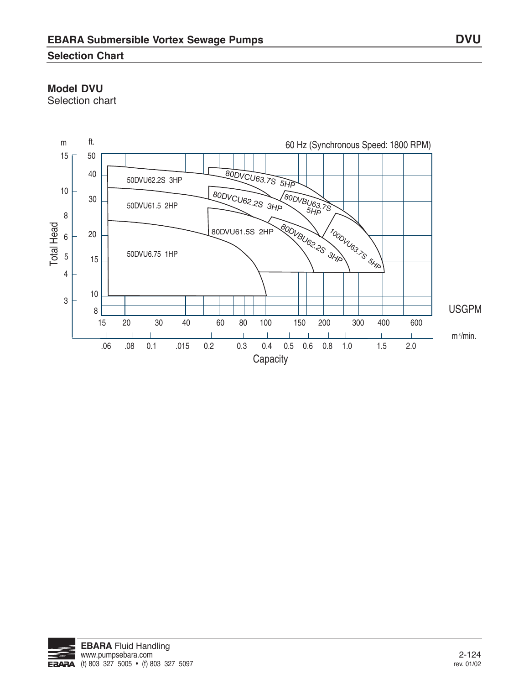## **Selection Chart**

## **Model DVU**

Selection chart



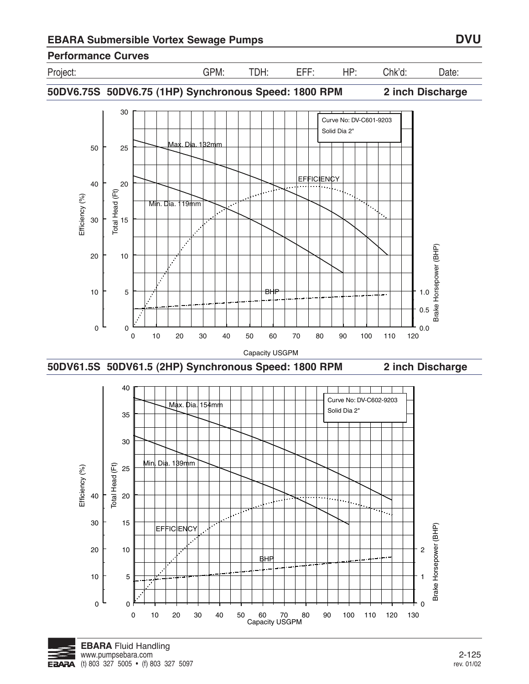## **Performance Curves**



Project: GPM: TDH: EFF: HP: Chk'd: Date:

**50DV6.75S 50DV6.75 (1HP) Synchronous Speed: 1800 RPM 2 inch Discharge**



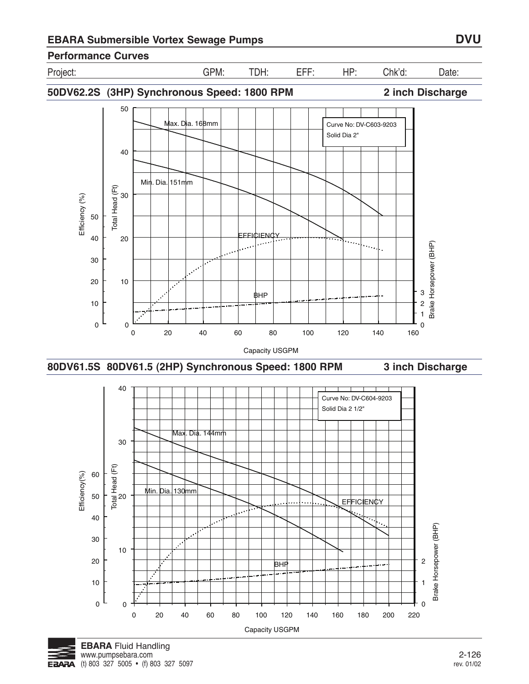**Performance Curves**

Project: GPM: TDH: EFF: HP: Chk'd: Date:

**50DV62.2S (3HP) Synchronous Speed: 1800 RPM 2 inch Discharge**







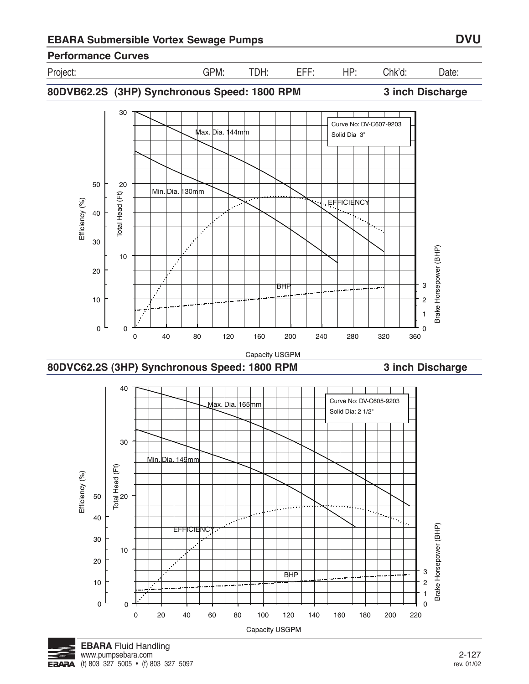

Project: GPM: TDH: EFF: HP: Chk'd: Date:

**80DVB62.2S (3HP) Synchronous Speed: 1800 RPM 3 inch Discharge**





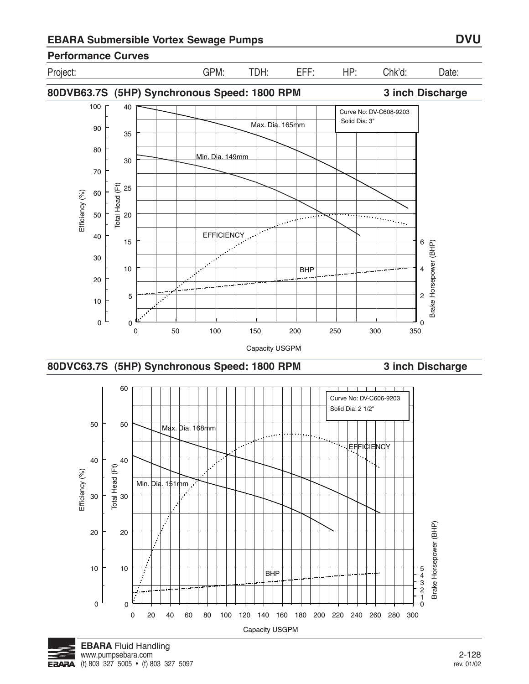

0 20 40 60 80 100 120 140 160 180 200 220 240 260 280 300 Capacity USGPM



0

0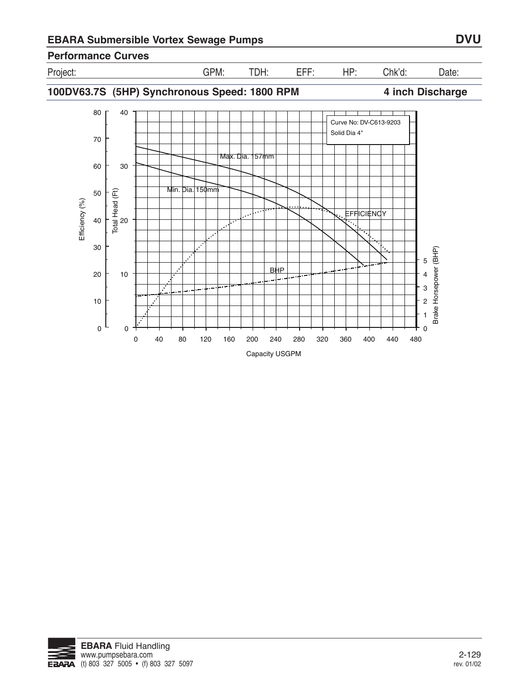

Project: GPM: TDH: EFF: HP: Chk'd: Date:

**100DV63.7S (5HP) Synchronous Speed: 1800 RPM 4 inch Discharge**



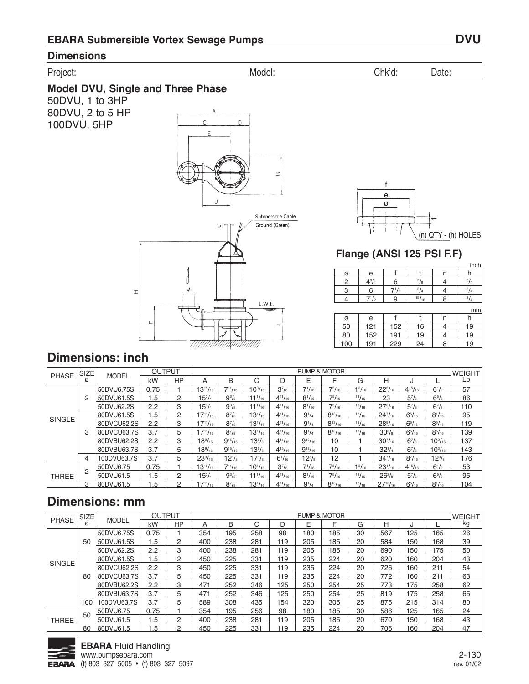### **Dimensions**

#### Project: Model: Chk'd: Date:

**Model DVU, Single and Three Phase** 50DVU, 1 to 3HP 80DVU, 2 to 5 HP 100DVU, 5HP

 $\mathbf{I}$ 



f e ø (n) QTY - (h) HOLES ى

## **Flange (ANSI 125 PSI F.F)**

|     |              |           |             |   | inch        |
|-----|--------------|-----------|-------------|---|-------------|
| ø   | e            |           |             | n | h           |
| 2   | $4^{3}/_{4}$ | 6         | $^{5}/_{8}$ |   | $^{3}/_{4}$ |
| 3   | 6            | $7^{1/2}$ | $^{3}/_{4}$ | 4 | $^{3}/_{4}$ |
| 4   | $7^{1}/2$    | 9         | 15/16       | 8 | $^{3}/_{4}$ |
|     |              |           |             |   | mm          |
| Ø   | e            |           |             | n | h           |
| 50  | 121          | 152       | 16          |   | 19          |
| 80  | 152          | 191       | 19          | 4 | 19          |
| 100 | 191          | 229       | 24          | 8 | 19          |

# **Dimensions: inch**

|               | <b>SIZE</b> |              | <b>OUTPUT</b> |                |                      |                |                |                |                | <b>PUMP &amp; MOTOR</b> |               |                      |                |                    | <b>WEIGHT</b> |
|---------------|-------------|--------------|---------------|----------------|----------------------|----------------|----------------|----------------|----------------|-------------------------|---------------|----------------------|----------------|--------------------|---------------|
| <b>PHASE</b>  | ø           | <b>MODEL</b> | kW            | <b>HP</b>      | A                    | B              | С              | D              | Е              | F                       | G             | Н                    | J              |                    | Lb            |
|               |             | 50DVU6.75S   | 0.75          |                | $13^{15}/_{16}$      | $7^{11}/_{16}$ | $10^{3}/_{16}$ | $3^{7}/8$      | $7^{1}/_{16}$  | $7^{5}/_{16}$           | $1^3/16$      | $22^{5}/_{16}$       | $4^{15}/_{16}$ | $6^{1/2}$          | 57            |
|               | 2           | 50DVU61.5S   | 1.5           | $\overline{2}$ | $15^{3}/_{4}$        | $9^{3}/_{8}$   | $11^{1/16}$    | $4^{11}/_{16}$ | $8^{1}/_{16}$  | $7^{5}/_{16}$           | 13/16         | 23                   | $5^7/s$        | $6^{5}/\mathrm{s}$ | 86            |
|               |             | 50DVU62.2S   | 2.2           | 3              | $15^{3}/4$           | $9^{3}/_{8}$   | $11^{1/16}$    | $4^{11}/_{16}$ | $8^{1}/_{16}$  | $7^{5}/_{16}$           | 13/16         | $27^{3}/_{16}$       | $5^{7}/s$      | $6^{7}/s$          | 110           |
|               |             | 80DVU61.5S   | 1.5           | $\overline{2}$ | $17^{11}/_{16}$      | $8^{7}/_{8}$   | $13^{1/16}$    | $4^{11}/_{16}$ | $9^{1}/4$      | $8^{13}/_{16}$          | 13/16         | $24^{7}/_{16}$       | $6^{5}/_{16}$  | $8^{1}/_{16}$      | 95            |
| <b>SINGLE</b> |             | 80DVCU62.2S  | 2.2           | 3              | $17^{11}/_{16}$      | $8^{7}/_{8}$   | $13^{1/16}$    | $4^{11}/_{16}$ | $9^{1}/_{4}$   | $8^{13}/_{16}$          | 13/16         | $28\%$ <sub>16</sub> | $6^{5}/_{16}$  | $8^{5}/_{16}$      | 119           |
|               | 3           | 80DVCU63.7S  | 3.7           | 5              | $17^{11}/_{16}$      | $8^{7}/_{8}$   | $13^{1/16}$    | $4^{11}/_{16}$ | $9^{1}/4$      | $8^{13}/_{16}$          | 13/16         | $30^{3}/a$           | $6^{5}/_{16}$  | $8^{5}/_{16}$      | 139           |
|               |             | 80DVBU62.2S  | 2.2           | 3              | $18\%$ <sub>16</sub> | $9^{15}/_{16}$ | $13^{5}/s$     | $4^{15}/_{16}$ | $9^{13}/_{16}$ | 10                      |               | $30^{7}/_{16}$       | $6^7/s$        | $10^{3}/_{16}$     | 137           |
|               |             | 80DVBU63.7S  | 3.7           | 5              | $18\%/16$            | $9^{15}/_{16}$ | $13^{5}/_8$    | $4^{15}/_{16}$ | $9^{13}/_{16}$ | 10 <sup>°</sup>         |               | $32^{1/4}$           | $6^{7}/_{8}$   | $10^{3}/_{16}$     | 143           |
|               | 4           | 100DVU63.7S  | 3.7           | 5              | $23^{3}/_{16}$       | $12^{1/s}$     | $17^{1/s}$     | $6^{1/16}$     | $12^{5}/s$     | 12                      |               | $34^{7}/_{16}$       | $8^{7}/_{16}$  | $12^{3}/s$         | 176           |
|               |             | 50DVU6.75    | 0.75          |                | $13^{15}/_{16}$      | $7^{11}/_{16}$ | $10^{1/16}$    | $3^{7}/8$      | $7^{1}/_{16}$  | $7^{5}/_{16}$           | $1^{3}/_{16}$ | $23^{1/16}$          | $4^{15}/_{16}$ | $6^{1/2}$          | 53            |
| <b>THREE</b>  |             | 50DVU61.5    | 1.5           | $\overline{2}$ | $15^{3}/_{4}$        | $9^{3}/_{8}$   | $11^{1/16}$    | $4^{11}/_{16}$ | $8^{1}/_{16}$  | $7^{5}/_{16}$           | 13/16         | $26^{3}/_{8}$        | $5^7/s$        | $6^{5}/\mathrm{s}$ | 95            |
|               | 3           | 80DVU61.5    | 1.5           | 2              | $17^{11}/_{16}$      | $8^{7}/_{8}$   | $13^{1/16}$    | $4^{11}/_{16}$ | $9^{1}/4$      | $8^{13}/_{16}$          | 13/16         | $27^{13}/_{16}$      | $6^{5}/_{16}$  | $8^{1}/_{16}$      | 104           |

|               | <b>SIZE</b> |              | <b>OUTPUT</b> |                |     |     |        |     | <b>PUMP &amp; MOTOR</b> |     |    |     |     |     | <b>WEIGHT</b> |
|---------------|-------------|--------------|---------------|----------------|-----|-----|--------|-----|-------------------------|-----|----|-----|-----|-----|---------------|
| <b>PHASE</b>  | ø           | <b>MODEL</b> | kW            | <b>HP</b>      | А   | B   | ⌒<br>U | D   | Е                       |     | G  | н   |     |     | kg            |
|               |             | 50DVU6.75S   | 0.75          |                | 354 | 195 | 258    | 98  | 180                     | 185 | 30 | 567 | 125 | 165 | 26            |
|               | 50          | 50DVU61.5S   | 1.5           | $\overline{2}$ | 400 | 238 | 281    | 119 | 205                     | 185 | 20 | 584 | 150 | 168 | 39            |
|               |             | 50DVU62.2S   | 2.2           | 3              | 400 | 238 | 281    | 119 | 205                     | 185 | 20 | 690 | 150 | 175 | 50            |
|               |             | 80DVU61.5S   | 1.5           | 2              | 450 | 225 | 331    | 119 | 235                     | 224 | 20 | 620 | 160 | 204 | 43            |
| <b>SINGLE</b> |             | 80DVCU62.2S  | 2.2           | 3              | 450 | 225 | 331    | 119 | 235                     | 224 | 20 | 726 | 160 | 211 | 54            |
|               | 80          | 80DVCU63.7S  | 3.7           | 5              | 450 | 225 | 331    | 119 | 235                     | 224 | 20 | 772 | 160 | 211 | 63            |
|               |             | 80DVBU62.2S  | 2.2           | 3              | 471 | 252 | 346    | 125 | 250                     | 254 | 25 | 773 | 175 | 258 | 62            |
|               |             | 80DVBU63.7S  | 3.7           | 5              | 471 | 252 | 346    | 125 | 250                     | 254 | 25 | 819 | 175 | 258 | 65            |
|               | 100         | 100DVU63.7S  | 3.7           | 5              | 589 | 308 | 435    | 154 | 320                     | 305 | 25 | 875 | 215 | 314 | 80            |
|               |             | 50DVU6.75    | 0.75          |                | 354 | 195 | 256    | 98  | 180                     | 185 | 30 | 586 | 125 | 165 | 24            |
| <b>THREE</b>  | 50          | 50DVU61.5    | l.5           | 2              | 400 | 238 | 281    | 119 | 205                     | 185 | 20 | 670 | 150 | 168 | 43            |
|               | 80          | 80DVU61.5    | .5            | 2              | 450 | 225 | 331    | 119 | 235                     | 224 | 20 | 706 | 160 | 204 | 47            |

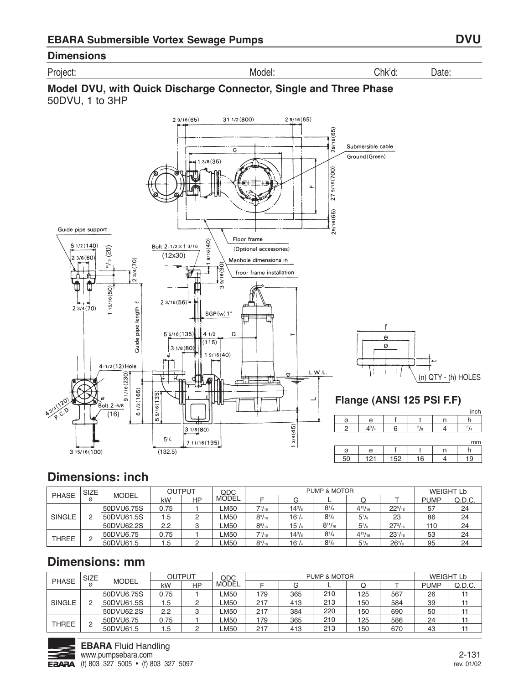#### **Dimensions**

Project: Model: Chk'd: Date:





# **Dimensions: inch**

|               | SIZE <sub>1</sub> |              | <b>OUTPUT</b> |    | QDC   |                 |               | PUMP & MOTOR   |                |                |             | WEIGHT Lb |
|---------------|-------------------|--------------|---------------|----|-------|-----------------|---------------|----------------|----------------|----------------|-------------|-----------|
| <b>PHASE</b>  | Ø                 | <b>MODEL</b> | kW            | HP | MODEL |                 |               |                |                |                | <b>PUMP</b> | Q.D.C.    |
|               |                   | 50DVU6.75S   | 0.75          |    | LM50  | $7^{1}/_{16}$   | $14^{3}/_{8}$ | $8^{1}/4$      | $4^{15}/_{16}$ | $22^{5}/_{16}$ | 57          | 24        |
| <b>SINGLE</b> |                   | 50DVU61.5S   | 1.5           |    | LM50  | $8\frac{9}{16}$ | $16^{1/4}$    | $8^{3}/_{8}$   | $5^7/s$        | 23             | 86          | 24        |
|               |                   | 50DVU62.2S   | 2.2           |    | LM50  | $8\frac{9}{16}$ | $15^{1}/s$    | $8^{11}/_{16}$ | $5^7/s$        | $27^{3}/_{16}$ | 110         | 24        |
|               | C                 | 50DVU6.75    | 0.75          |    | LM50  | $7^{1}/_{16}$   | $14^{3}/_{8}$ | $8^{1}/4$      | $4^{15}/_{16}$ | $23^{1}/_{16}$ | 53          | 24        |
| <b>THREE</b>  | _                 | 50DVU61.5    | .5            |    | LM50  | $8\frac{9}{16}$ | $16^{1/4}$    | $8^{3}/_{8}$   | $5^{7}/s$      | $26^{3}/s$     | 95          | 24        |

|               | <b>SIZE</b> |              | <b>OUTPUT</b> |    | QDC         |     |     | PUMP & MOTOR |     |     |             | <b>WEIGHT Lb</b> |
|---------------|-------------|--------------|---------------|----|-------------|-----|-----|--------------|-----|-----|-------------|------------------|
| <b>PHASE</b>  | ø           | <b>MODEL</b> | kW            | HP | MODEL       |     |     |              |     |     | <b>PUMP</b> | Q.D.C.           |
|               |             | 50DVU6.75S   | 0.75          |    | LM50        | 79  | 365 | 210          | 125 | 567 | 26          |                  |
| <b>SINGLE</b> |             | 50DVU61.5S   | 1.5           |    | <b>_M50</b> | 217 | 413 | 213          | 150 | 584 | 39          |                  |
|               |             | 50DVU62.2S   | 2.2           |    | LM50        | 217 | 384 | 220          | 150 | 690 | 50          |                  |
|               | $\Omega$    | 50DVU6.75    | 0.75          |    | LM50        | 179 | 365 | 210          | 125 | 586 | 24          |                  |
| <b>THREE</b>  | c           | 50DVU61.5    | l .5          |    | <b>_M50</b> | 217 | 413 | 213          | 150 | 670 | 43          |                  |

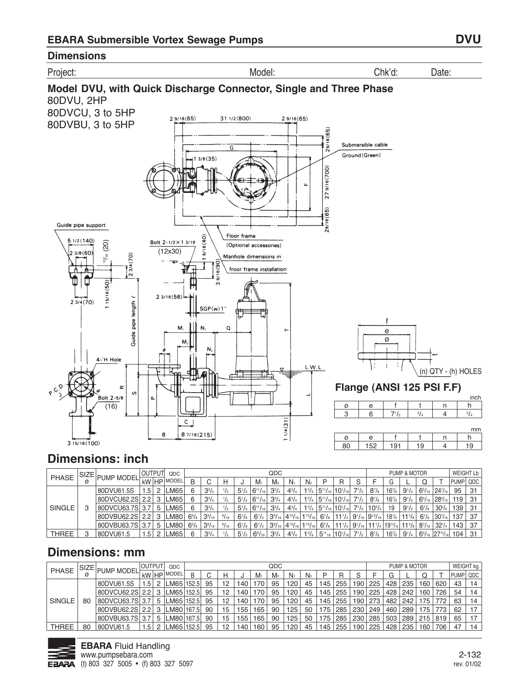#### **Dimensions**



Project: Model: Chk'd: Date:



# **Dimensions: inch**

|               | SIZE PUMP MODEL   | <b><i>I</i>OUTPUTI</b> |   | QDC               |                  |                 |               |              |                                                     | QDC            |              |                                                                               |                  |                                                                                                         |              |              |                                                     | PUMP & MOTOR |               |                                                | <b>WEIGHT Lb</b> |     |
|---------------|-------------------|------------------------|---|-------------------|------------------|-----------------|---------------|--------------|-----------------------------------------------------|----------------|--------------|-------------------------------------------------------------------------------|------------------|---------------------------------------------------------------------------------------------------------|--------------|--------------|-----------------------------------------------------|--------------|---------------|------------------------------------------------|------------------|-----|
| <b>PHASE</b>  |                   |                        |   | I kW HP MODEL     | B                |                 |               |              | $M_1$                                               | M <sub>2</sub> | $N_{1}$      | N <sub>2</sub>                                                                |                  | R                                                                                                       |              |              |                                                     |              |               |                                                | <b>PUMPI QDC</b> |     |
|               | 80DVU61.5S        | .5                     | 2 | LM65              | 6                | $3^{3}/_{4}$    |               |              | $5^{1}/_{2}$ 6 <sup>11</sup> / <sub>16</sub>        | $3^{3}/_{4}$   | $4^{3}/_{4}$ |                                                                               |                  | $1^{3}/_{4}$ 5 <sup>11</sup> / <sub>16</sub> 10 <sup>1</sup> / <sub>16</sub>                            | $7^{1/2}$    | $8^{7}/_{8}$ | $16^{7}/_8$                                         | $9^{1}/_{4}$ |               | $65/16$ 24 $7/16$                              | 95               | -31 |
|               | 80DVCU62.2S 2.2   |                        | 3 | LM65              |                  | $3^{3}/_{4}$    | $\frac{1}{2}$ |              | $5^{1}/\frac{1}{2}$ 6 <sup>11</sup> / <sub>16</sub> | $3^{3}/_{4}$   | $4^{3}/_{4}$ |                                                                               |                  | $1^{3}/_{4}$ 5 <sup>11</sup> / <sub>16</sub> 10 <sup>1</sup> / <sub>16</sub>                            | $7^{1/2}$    | $8^{7}/8$    | $16^{7}/s$                                          | $9^{1}/2$    |               | $6\frac{5}{16}$   $28\frac{9}{16}$             | 119 <sup>1</sup> |     |
| <b>SINGLE</b> | 80DVCU63.7S 3.7   |                        | b | LM65              | 6                | $3^{3}/_{4}$    | $\frac{1}{2}$ |              | $5^{1}/\frac{1}{2}$ 6 <sup>11</sup> / <sub>16</sub> | $3^{3}/_{4}$   | $4^{3}/_{4}$ |                                                                               |                  | $1^{3}/_{4}$ 5 <sup>11</sup> / <sub>16</sub> 10 <sup>1</sup> / <sub>16</sub>                            | $7^{1}/_{2}$ | $10^{3/4}$   | 19                                                  | $9^{1}/2$    | $6^{7}/s$     | $30\frac{3}{8}$                                | 139 <sup>1</sup> |     |
|               | 80DVBU62.2S   2.2 |                        | 3 | LM80              | $6^{5}/\text{s}$ | $3\frac{9}{16}$ | 9/16          | $6^{1}/_{8}$ | $6^{1/2}$                                           |                |              | $3^{9}/_{16}$ 4 <sup>15</sup> / <sub>16</sub> 1 <sup>15</sup> / <sub>16</sub> |                  | $67/_8$   11 $\frac{1}{4}$   9 $\frac{1}{16}$   9 $\frac{13}{16}$   18 $\frac{1}{8}$   11 $\frac{3}{8}$ |              |              |                                                     |              |               | $6^{7}/_8$ 30 $^{7}/_{16}$                     | 137              |     |
|               | 80DVBU63.7S 3.7   |                        | 5 | LM80 <sup>1</sup> | $6^{5}/s$        | $3\frac{9}{16}$ | 9/16          | $6^{1}/s$    | $6^{1/2}$                                           |                |              | $3^{9}/_{16}$ 4 <sup>15</sup> / <sub>16</sub> 1 <sup>15</sup> / <sub>16</sub> | $6^{7}/\epsilon$ | $11^{1}/_{4}$                                                                                           | $9^{1/16}$   |              | $111'$ /4 $19'$ <sup>13</sup> /16 $11^3$ /8 $\vert$ |              | $8^{7}/_{16}$ | $32^{1/4}$                                     | 143              | 37  |
| THREE         | 80DVU61.5         |                        |   | LM65              |                  | $3^{3}/_{4}$    |               | $5^{1}/_{2}$ | $ 6^{5}/_{16} $                                     | $3^{3}/_{4}$   | $4^{3}/_{4}$ | $1^{3}/_{4}$                                                                  |                  | $5^{11}_{16}$ 10 <sup>1</sup> / <sub>16</sub>                                                           |              | $8^{7}/_{8}$ | $16^{7}/s$                                          | $9^{1}/_{4}$ |               | $6^{5}/_{16}$ 27 <sup>13</sup> / <sub>16</sub> | 104              |     |

|               | SIZE |                   | <b>IOUTPUT</b> |      | <b>ODC</b>       |   |    |    |                  |       | QDC            |         |                |     |           |         |     | PUMP & MOTOR  |     |     | WEIGHT kg |    |
|---------------|------|-------------------|----------------|------|------------------|---|----|----|------------------|-------|----------------|---------|----------------|-----|-----------|---------|-----|---------------|-----|-----|-----------|----|
| <b>PHASE</b>  |      | <b>PUMP MODEL</b> | kW             |      | HP MODEL         | B |    | Н  |                  | $M_1$ | M <sub>2</sub> | $N_{1}$ | N <sub>2</sub> |     |           |         |     |               |     |     | PUMP QDC  |    |
|               |      | 80DVU61.5S        | .5             |      | 2 LM65 152.5     |   | 95 | 12 | 140              | 170   | 95             | 120     | 45             | 145 | 255       | 190 225 | 428 | 235           | 160 | 620 | 43        | 14 |
|               |      | 80DVCU62.2SL2.2   |                |      | 3 LM65 152.5     |   | 95 | 12 | 140              | 170   | 95             | 120     | 45             | 145 | 255       | 190 225 | 428 | 242           | 160 | 726 | 54        | 14 |
| <b>SINGLE</b> | 80   | 80DVCU63.7S 3.7   |                |      | 5   LM65   152.5 |   | 95 | 12 | 140              | 170   | 95             | 120     | 45             |     | 145   255 | 190 273 | 482 | 242           | 175 | 772 | 63        | 14 |
|               |      | 80DVBU62.2S   2.2 |                |      | 3 LM80 167.5     |   | 90 | 15 | 155              | 165   | 90             | 125     | 50             |     | 175   285 | 230 249 | 460 | 289           | 175 | 773 | 62        |    |
|               |      | 80DVBU63.7S 3.7   |                |      | 5 LM80 167.5     |   | 90 | 15 | 155              | 165   | 90             | 125     | 50             | 175 | 285       | 230 285 | 503 | 289           | 215 | 819 | 65        |    |
| THREE         | 80   | 80DVU61.5         | .5             | 2 II | LM65 152.5       |   | 95 | 12 | 140 <sub>1</sub> | 160   | 95             | 120     | 45             |     | 145   255 | 190 225 | 428 | $^{\circ}235$ | 160 | 706 | 47        | 14 |

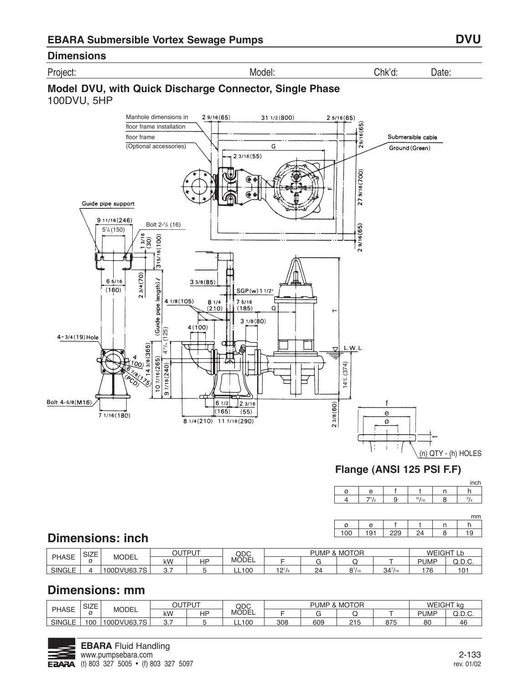Project: Model: Chk'd: Date:

## **Model DVU, with Quick Discharge Connector, Single Phase** 100DVU, 5HP



## **Flange (ANSI 125 PSI F.F)**

|  |     |    |          | mm |
|--|-----|----|----------|----|
|  |     |    |          |    |
|  | ∗∩، | 29 | $\Delta$ | .9 |

# **Dimensions: inch**

| <b>PHASE</b>  | C17E<br>OILE<br>K | <b>MODEL</b>                          | OUTPUT |    | QDC          | MOTOR .<br><b>PUMP</b> |    |    |              | <b>WEIGHT!</b> |       |
|---------------|-------------------|---------------------------------------|--------|----|--------------|------------------------|----|----|--------------|----------------|-------|
|               |                   |                                       | kW     | HP | MODEL        |                        |    |    |              | <b>PUMP</b>    | w.u.v |
| <b>SINGLE</b> |                   | 100DVU63.<br>$\overline{\phantom{a}}$ | u.     |    | <b>LL100</b> | $2^{1}/s$              | 24 | 07 | 347/1<br>/16 | 76             | 101   |

| <b>PHASE</b> | 017F<br>SIZE | <b>MODEL</b>                           | <b>OUTPUT</b><br>◡ |    | QDC   | MOTOR<br><b>PUMP</b><br>α |     |              |     | WEIGHT ka   |      |
|--------------|--------------|----------------------------------------|--------------------|----|-------|---------------------------|-----|--------------|-----|-------------|------|
|              |              |                                        | kW                 | HP | MODEL |                           |     |              |     | <b>PUMF</b> | ື.∟. |
| SINGLE       | 00           | 100DVU63.7<br>$\overline{\phantom{a}}$ | U.                 |    | LL100 | 308                       | 609 | 0.4E<br>ں اے | 875 | 80          | 46   |

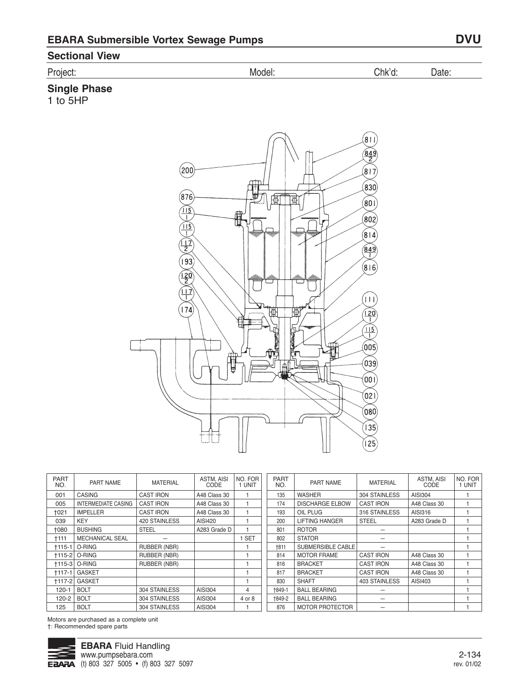## **Sectional View**

# **Single Phase**

1 to 5HP



| <b>PART</b><br>NO. | PART NAME                  | <b>MATERIAL</b>     | <b>ASTM. AISI</b><br>CODE | NO. FOR<br>UNIT | <b>PART</b><br>NO. | PART NAME              | <b>MATERIAL</b>  | <b>ASTM. AISI</b><br>CODE | NO. FOR<br>1 UNIT |
|--------------------|----------------------------|---------------------|---------------------------|-----------------|--------------------|------------------------|------------------|---------------------------|-------------------|
| 001                | <b>CASING</b>              | <b>CAST IRON</b>    | A48 Class 30              |                 | 135                | <b>WASHER</b>          | 304 STAINLESS    | AISI304                   |                   |
| 005                | <b>INTERMEDIATE CASING</b> | <b>CAST IRON</b>    | A48 Class 30              |                 | 174                | <b>DISCHARGE ELBOW</b> | <b>CAST IRON</b> | A48 Class 30              |                   |
| +021               | <b>IMPELLER</b>            | <b>CAST IRON</b>    | A48 Class 30              |                 | 193                | OIL PLUG               | 316 STAINLESS    | AISI316                   |                   |
| 039                | <b>KEY</b>                 | 420 STAINLESS       | AISI420                   |                 | 200                | <b>LIFTING HANGER</b>  | <b>STEEL</b>     | A283 Grade D              |                   |
| 1080               | <b>BUSHING</b>             | <b>STEEL</b>        | A283 Grade D              |                 | 801                | <b>ROTOR</b>           |                  |                           |                   |
| <b>+111</b>        | <b>MECHANICAL SEAL</b>     |                     |                           | <b>SET</b>      | 802                | <b>STATOR</b>          |                  |                           |                   |
| $+115-1$           | O-RING                     | <b>RUBBER (NBR)</b> |                           |                 | <b>+811</b>        | SUBMERSIBLE CABLE      |                  |                           |                   |
| $+115-2$           | O-RING                     | RUBBER (NBR)        |                           |                 | 814                | <b>MOTOR FRAME</b>     | <b>CAST IRON</b> | A48 Class 30              |                   |
|                    | <b>+115-3   O-RING</b>     | <b>RUBBER (NBR)</b> |                           |                 | 816                | <b>BRACKET</b>         | <b>CAST IRON</b> | A48 Class 30              |                   |
| $+117-1$           | <b>GASKET</b>              |                     |                           |                 | 817                | <b>BRACKET</b>         | <b>CAST IRON</b> | A48 Class 30              |                   |
| $+117-2$           | <b>GASKET</b>              |                     |                           |                 | 830                | <b>SHAFT</b>           | 403 STAINLESS    | AISI403                   |                   |
| $120 - 1$          | <b>BOLT</b>                | 304 STAINLESS       | AISI304                   | 4               | <b>+849-1</b>      | <b>BALL BEARING</b>    |                  |                           |                   |
| $120 - 2$          | <b>BOLT</b>                | 304 STAINLESS       | AISI304                   | 4 or 8          | <b>+849-2</b>      | <b>BALL BEARING</b>    |                  |                           |                   |
| 125                | <b>BOLT</b>                | 304 STAINLESS       | AISI304                   |                 | 876                | <b>MOTOR PROTECTOR</b> |                  |                           |                   |

Motors are purchased as a complete unit †: Recommended spare parts